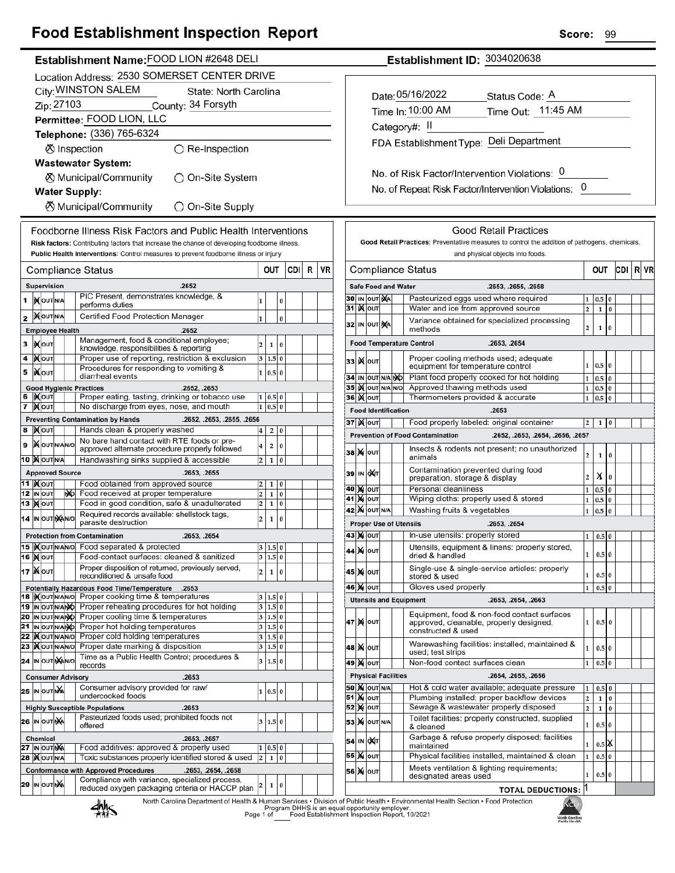## **Egod Establishment Inspection Penert**

| гоод сэтарлэннент тэреспон керөң                                                                                                                | эсоге:<br>୳୳                                                                                                                                                            |
|-------------------------------------------------------------------------------------------------------------------------------------------------|-------------------------------------------------------------------------------------------------------------------------------------------------------------------------|
| Establishment Name: FOOD LION #2648 DELI                                                                                                        | Establishment ID: 3034020638                                                                                                                                            |
| Location Address: 2530 SOMERSET CENTER DRIVE                                                                                                    |                                                                                                                                                                         |
| City: WINSTON SALEM<br>State: North Carolina                                                                                                    | Date: 05/16/2022<br>Status Code: A                                                                                                                                      |
| Zip: 27103<br>County: 34 Forsyth                                                                                                                |                                                                                                                                                                         |
| Permittee: FOOD LION, LLC                                                                                                                       | Time Out: 11:45 AM<br>Time In: 10:00 AM                                                                                                                                 |
| Telephone: (336) 765-6324                                                                                                                       | Category#: II                                                                                                                                                           |
| ⊗ Inspection<br>$\bigcirc$ Re-Inspection                                                                                                        | FDA Establishment Type: Deli Department                                                                                                                                 |
| <b>Wastewater System:</b>                                                                                                                       |                                                                                                                                                                         |
| <b><math>\oslash</math> Municipal/Community</b><br>◯ On-Site System                                                                             | No. of Risk Factor/Intervention Violations: 0                                                                                                                           |
| <b>Water Supply:</b>                                                                                                                            | No. of Repeat Risk Factor/Intervention Violations: 0                                                                                                                    |
| <b><math>\oslash</math> Municipal/Community</b><br>○ On-Site Supply                                                                             |                                                                                                                                                                         |
|                                                                                                                                                 |                                                                                                                                                                         |
| Foodborne Illness Risk Factors and Public Health Interventions                                                                                  | <b>Good Retail Practices</b>                                                                                                                                            |
| Risk factors: Contributing factors that increase the chance of developing foodborne illness.                                                    | Good Retail Practices: Preventative measures to control the addition of pathogens, chemicals,                                                                           |
| Public Health Interventions: Control measures to prevent foodborne illness or injury                                                            | and physical objects into foods.                                                                                                                                        |
| OUT<br>CDI R<br><b>Compliance Status</b>                                                                                                        | CDI   R   VF<br>VR<br><b>Compliance Status</b><br>OUT                                                                                                                   |
| .2652<br>Supervision                                                                                                                            | <b>Safe Food and Water</b><br>.2653, .2655, .2658                                                                                                                       |
| PIC Present, demonstrates knowledge, &<br><b>XOUTNA</b><br>1<br>l o<br>performs duties                                                          | 30 IN OUT NA<br>Pasteurized eggs used where required<br>$1 \ 0.5 \ 0$<br>31 X OUT<br>$1\overline{0}$<br>Water and ice from approved source<br>2 <sup>1</sup>            |
| <b>XOUTNA</b><br>Certified Food Protection Manager<br>0<br>2                                                                                    | Variance obtained for specialized processing                                                                                                                            |
| <b>Employee Health</b><br>.2652                                                                                                                 | 32 IN OUT NA<br>$\overline{2}$<br>$\mathbf 1$<br>$\bf{0}$<br>methods                                                                                                    |
| Management, food & conditional employee;<br>$\overline{2}$<br>1 0<br>3<br><b>IXOUT</b><br>knowledge, responsibilities & reporting               | <b>Food Temperature Control</b><br>.2653, .2654                                                                                                                         |
| Proper use of reporting, restriction & exclusion<br><b>XOUT</b><br>3   1.5   0  <br>4                                                           | Proper cooling methods used; adequate<br>33 Kout<br>$1 \ 0.5 \ 0$                                                                                                       |
| Procedures for responding to vomiting &<br><b>XOUT</b><br>1 0.5 0<br>5<br>diarrheal events                                                      | equipment for temperature control<br>Plant food properly cooked for hot holding<br>34 IN OUT N/A NO<br>$1 \vert 0.5 \vert 0$                                            |
| <b>Good Hygienic Practices</b><br>.2652, .2653                                                                                                  | 35 IN OUT N/A N/O<br>Approved thawing methods used<br>$1 \overline{0.5}$ 0                                                                                              |
| <b>XOUT</b><br>Proper eating, tasting, drinking or tobacco use<br>1   0.5   0<br>6                                                              | 36 <b>Kout</b><br>Thermometers provided & accurate<br>$1 \vert 0.5 \vert 0$                                                                                             |
| 7 MOUT<br>No discharge from eyes, nose, and mouth<br>$1 \ 0.5 \ 0$<br><b>Preventing Contamination by Hands</b><br>.2652, .2653, .2655, .2656    | <b>Food Identification</b><br>.2653                                                                                                                                     |
| Hands clean & properly washed<br>8 MOUT<br>$4 \quad 2 \quad 0$                                                                                  | 37 X OUT<br>Food properly labeled: original container<br>$1\quad0$<br>2 <sub>1</sub>                                                                                    |
| No bare hand contact with RTE foods or pre-<br><b>X</b> OUTINANO<br>2 0<br>$\overline{\mathbf{4}}$<br>9                                         | <b>Prevention of Food Contamination</b><br>.2652, .2653, .2654, .2656, .2657                                                                                            |
| approved alternate procedure properly followed<br>10 XOUTNA<br>Handwashing sinks supplied & accessible<br>$2 \mid 1 \mid 0$                     | Insects & rodents not present; no unauthorized<br><b>38 М</b> ОUТ<br>$\overline{a}$<br>$1\quad0$<br>animals                                                             |
| <b>Approved Source</b><br>.2653, .2655                                                                                                          | Contamination prevented during food<br>39 IN OXT                                                                                                                        |
| <b>11  </b> Молт<br>Food obtained from approved source<br>1 0                                                                                   | X <sub>0</sub><br>2 <sup>1</sup><br>preparation, storage & display<br>Personal cleanliness<br><b>40 M OUT</b><br>$1 \ 0.5 \ 0$                                          |
| 12 IN OUT<br>No Food received at proper temperature<br>1 0 <br>$\overline{2}$<br>13 MOUT<br>Food in good condition, safe & unadulterated<br>1 0 | <b>41 MOUT</b><br>Wiping cloths: properly used & stored<br>1 <sup>1</sup><br>$0.5\vert 0$                                                                               |
| $\overline{2}$<br>Required records available: shellstock tags,                                                                                  | 42 M OUT N/A<br>Washing fruits & vegetables<br>$1 \vert 0.5 \vert 0$                                                                                                    |
| 14 IN OUT NANO<br>$\overline{2}$<br>1 0<br>parasite destruction                                                                                 | <b>Proper Use of Utensils</b><br>.2653, .2654                                                                                                                           |
| <b>Protection from Contamination</b><br>.2653, .2654                                                                                            | <b>43 X OUT</b><br>In-use utensils: properly stored<br>$1 \mid 0.5 \mid 0$                                                                                              |
| 15  Xout NANO Food separated & protected<br>3   1.5   0<br><b>16 MOUT</b><br>Food-contact surfaces: cleaned & sanitized<br>3 1.5 0              | Utensils, equipment & linens: properly stored,<br>44 X OUT<br>1<br>$0.5\vert 0$<br>dried & handled                                                                      |
| Proper disposition of returned, previously served,<br>17   NOUT<br>$\overline{2}$<br>1 0                                                        | Single-use & single-service articles: properly<br>45 X OUT                                                                                                              |
| reconditioned & unsafe food                                                                                                                     | 1<br>$0.5\,0$<br>stored & used                                                                                                                                          |
| Potentially Hazardous Food Time/Temperature<br>.2653<br>18 Mourwawo Proper cooking time & temperatures<br>3   1.5   0                           | <b>46 M OUT</b><br>Gloves used properly<br>$0.5\,0$<br>1<br>.2653, .2654, .2663                                                                                         |
| 19 IN OUT N/ANO Proper reheating procedures for hot holding<br>3 1.5 0                                                                          | <b>Utensils and Equipment</b>                                                                                                                                           |
| 20 IN OUT NAMO Proper cooling time & temperatures<br>3 1.5 0<br>21 IN OUT N/ANO Proper hot holding temperatures                                 | Equipment, food & non-food contact surfaces<br>47 M OUT<br>1<br>$0.5$ 0<br>approved, cleanable, properly designed,                                                      |
| 3   1.5   0<br>22 Xout NANO Proper cold holding temperatures<br>3 1.5 0                                                                         | constructed & used                                                                                                                                                      |
| 23 Xout NANO Proper date marking & disposition<br>3 1.5 0                                                                                       | Warewashing facilities: installed, maintained &<br>48 M OUT<br>1<br>$0.5\,0$<br>used; test strips                                                                       |
| Time as a Public Health Control; procedures &<br>24 IN OUT NAINO<br>3   1.5   0<br>records                                                      | Non-food contact surfaces clean<br><b>49 X OUT</b><br>$0.5$ 0<br>1                                                                                                      |
| .2653<br><b>Consumer Advisory</b>                                                                                                               | <b>Physical Facilities</b><br>.2654, .2655, .2656                                                                                                                       |
| Consumer advisory provided for raw/<br>25 IN OUT NA<br>1 0.5 0                                                                                  | <b>50 X OUT N/A</b><br>Hot & cold water available; adequate pressure<br>$0.5\,0$<br>1                                                                                   |
| undercooked foods<br><b>Highly Susceptible Populations</b><br>.2653                                                                             | <b>51 X OUT</b><br>Plumbing installed; proper backflow devices<br>$\mathbf{2}$<br>$1\,0$<br><b>52 MOUT</b><br>Sewage & wastewater properly disposed<br> 2 <br>$1\quad0$ |
| Pasteurized foods used; prohibited foods not<br>26 IN OUT NA<br>3   1.5   0                                                                     | Toilet facilities: properly constructed, supplied                                                                                                                       |
| offered                                                                                                                                         | 53 X OUT N/A<br>$1\vert$<br>0.5 0<br>& cleaned                                                                                                                          |
| Chemical<br>.2653, .2657<br>Food additives: approved & properly used<br>27 IN OUT NA<br>$1 \ 0.5 \ 0$                                           | Garbage & refuse properly disposed; facilities<br>54 IN OXT<br>0.5 X <br>1<br>maintained                                                                                |
| 28   OUT N/A<br>Toxic substances properly identified stored & used<br>$2 \mid 1 \mid 0$                                                         | 55 X OUT<br>Physical facilities installed, maintained & clean<br>0.5 0<br>$\mathbf{1}$                                                                                  |
| <b>Conformance with Approved Procedures</b><br>.2653, .2654, .2658                                                                              | Meets ventilation & lighting requirements;<br>56 X 0UT<br>$0.5\,0$<br>1<br>designated areas used                                                                        |
| Compliance with variance, specialized process,<br>29 IN OUT NA<br>1 0<br>reduced oxygen packaging criteria or HACCP plan                        | <b>TOTAL DEDUCTIONS: 1</b>                                                                                                                                              |
|                                                                                                                                                 |                                                                                                                                                                         |

**TOTAL DEDUCTIONS:** 1 мà

**North Caroline**<br>Public Health

熱

 $S<sub>corr</sub>$  00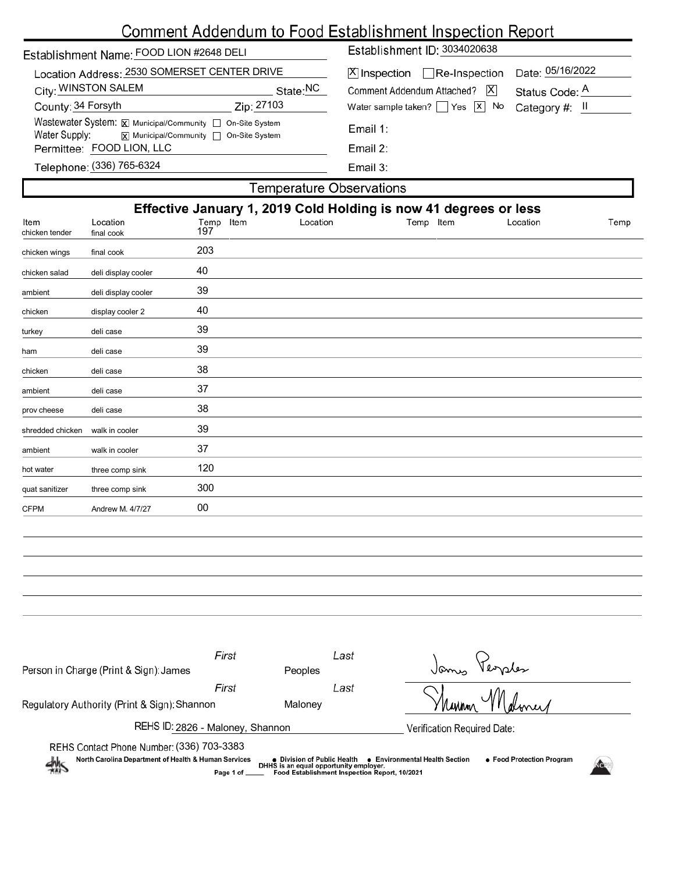# Comment Addendum to Food Establishment Inspection Report

| Establishment Name: FOOD LION #2648 DELI                                                                               |            | Establishment ID: 3034020638             |                  |  |  |  |
|------------------------------------------------------------------------------------------------------------------------|------------|------------------------------------------|------------------|--|--|--|
| Location Address: 2530 SOMERSET CENTER DRIVE                                                                           |            | $[X]$ Inspection Re-Inspection           | Date: 05/16/2022 |  |  |  |
| City: WINSTON SALEM                                                                                                    | State:NC   | Comment Addendum Attached?   X           | Status Code: A   |  |  |  |
| County: 34 Forsyth                                                                                                     | Zip: 27103 | Water sample taken? $\Box$ Yes $\Box$ No | Category #: II   |  |  |  |
| Wastewater System: X Municipal/Community   On-Site System<br>Water Supply:<br> x  Municipal/Community   On-Site System |            | Email 1:                                 |                  |  |  |  |
| Permittee: FOOD LION, LLC                                                                                              |            | Email $2$ :                              |                  |  |  |  |
| Telephone: (336) 765-6324                                                                                              |            | Email 3:                                 |                  |  |  |  |
| Temperature Observations                                                                                               |            |                                          |                  |  |  |  |

|                        |                        |                  |          | Effective January 1, 2019 Cold Holding is now 41 degrees or less |          |      |
|------------------------|------------------------|------------------|----------|------------------------------------------------------------------|----------|------|
| Item<br>chicken tender | Location<br>final cook | Temp Item<br>197 | Location | Temp Item                                                        | Location | Temp |
| chicken wings          | final cook             | 203              |          |                                                                  |          |      |
| chicken salad          | deli display cooler    | 40               |          |                                                                  |          |      |
| ambient                | deli display cooler    | 39               |          |                                                                  |          |      |
| chicken                | display cooler 2       | 40               |          |                                                                  |          |      |
| turkey                 | deli case              | 39               |          |                                                                  |          |      |
| ham                    | deli case              | 39               |          |                                                                  |          |      |
| chicken                | deli case              | 38               |          |                                                                  |          |      |
| ambient                | deli case              | 37               |          |                                                                  |          |      |
| prov cheese            | deli case              | 38               |          |                                                                  |          |      |
| shredded chicken       | walk in cooler         | 39               |          |                                                                  |          |      |
| ambient                | walk in cooler         | 37               |          |                                                                  |          |      |
| hot water              | three comp sink        | 120              |          |                                                                  |          |      |
| quat sanitizer         | three comp sink        | 300              |          |                                                                  |          |      |
| <b>CFPM</b>            | Andrew M. 4/7/27       | 00               |          |                                                                  |          |      |

| Person in Charge (Print & Sign): James                                                                                                                                                                                                                                                                          | First<br><b>Peoples</b> | Last | Versles                     |  |  |
|-----------------------------------------------------------------------------------------------------------------------------------------------------------------------------------------------------------------------------------------------------------------------------------------------------------------|-------------------------|------|-----------------------------|--|--|
| Regulatory Authority (Print & Sign): Shannon                                                                                                                                                                                                                                                                    | First<br>Maloney        | Last |                             |  |  |
| REHS ID: 2826 - Maloney, Shannon                                                                                                                                                                                                                                                                                |                         |      | Verification Required Date: |  |  |
| REHS Contact Phone Number: (336) 703-3383<br>North Carolina Department of Health & Human Services<br>● Food Protection Program<br>• Environmental Health Section<br>● Division of Public Health<br>鱂<br>DHHS is an equal opportunity employer.<br>Food Establishment Inspection Report, 10/2021<br>Page 1 of __ |                         |      |                             |  |  |